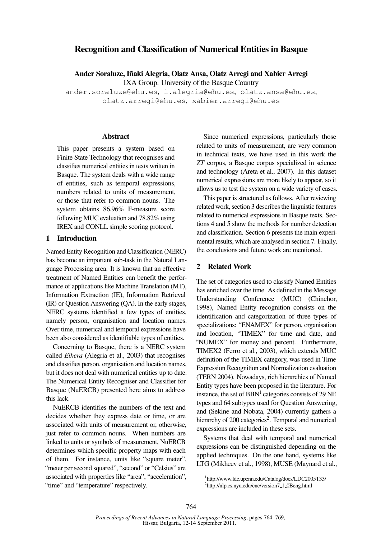# Recognition and Classification of Numerical Entities in Basque

Ander Soraluze, Iñaki Alegria, Olatz Ansa, Olatz Arregi and Xabier Arregi

IXA Group. University of the Basque Country

ander.soraluze@ehu.es, i.alegria@ehu.es, olatz.ansa@ehu.es, olatz.arregi@ehu.es, xabier.arregi@ehu.es

### Abstract

This paper presents a system based on Finite State Technology that recognises and classifies numerical entities in texts written in Basque. The system deals with a wide range of entities, such as temporal expressions, numbers related to units of measurement, or those that refer to common nouns. The system obtains 86.96% F-measure score following MUC evaluation and 78.82% using IREX and CONLL simple scoring protocol.

# 1 Introduction

Named Entity Recognition and Classification (NERC) has become an important sub-task in the Natural Language Processing area. It is known that an effective treatment of Named Entities can benefit the performance of applications like Machine Translation (MT), Information Extraction (IE), Information Retrieval (IR) or Question Answering (QA). In the early stages, NERC systems identified a few types of entities, namely person, organisation and location names. Over time, numerical and temporal expressions have been also considered as identifiable types of entities.

Concerning to Basque, there is a NERC system called *Eihera* (Alegria et al., 2003) that recognises and classifies person, organisation and location names, but it does not deal with numerical entities up to date. The Numerical Entity Recogniser and Classifier for Basque (NuERCB) presented here aims to address this lack.

NuERCB identifies the numbers of the text and decides whether they express date or time, or are associated with units of measurement or, otherwise, just refer to common nouns. When numbers are linked to units or symbols of measurement, NuERCB determines which specific property maps with each of them. For instance, units like "square meter", "meter per second squared", "second" or "Celsius" are associated with properties like "area", "acceleration", "time" and "temperature" respectively.

Since numerical expressions, particularly those related to units of measurement, are very common in technical texts, we have used in this work the *ZT* corpus, a Basque corpus specialized in science and technology (Areta et al., 2007). In this dataset numerical expressions are more likely to appear, so it allows us to test the system on a wide variety of cases.

This paper is structured as follows. After reviewing related work, section 3 describes the linguistic features related to numerical expressions in Basque texts. Sections 4 and 5 show the methods for number detection and classification. Section 6 presents the main experimental results, which are analysed in section 7. Finally, the conclusions and future work are mentioned.

# 2 Related Work

The set of categories used to classify Named Entities has enriched over the time. As defined in the Message Understanding Conference (MUC) (Chinchor, 1998), Named Entity recognition consists on the identification and categorization of three types of specializations: "ENAMEX" for person, organisation and location, "TIMEX" for time and date, and "NUMEX" for money and percent. Furthermore, TIMEX2 (Ferro et al., 2003), which extends MUC definition of the TIMEX category, was used in Time Expression Recognition and Normalization evaluation (TERN 2004). Nowadays, rich hierarchies of Named Entity types have been proposed in the literature. For instance, the set of  $BBN<sup>1</sup>$  categories consists of 29 NE types and 64 subtypes used for Question Answering, and (Sekine and Nobata, 2004) currently gathers a hierarchy of 200 categories<sup>2</sup>. Temporal and numerical expressions are included in these sets.

Systems that deal with temporal and numerical expressions can be distinguished depending on the applied techniques. On the one hand, systems like LTG (Mikheev et al., 1998), MUSE (Maynard et al.,

<sup>1</sup> http://www.ldc.upenn.edu/Catalog/docs/LDC2005T33/ <sup>2</sup>http://nlp.cs.nyu.edu/ene/version7\_1\_0Beng.html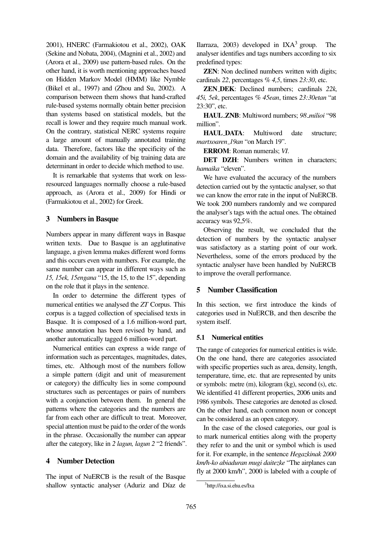2001), HNERC (Farmakiotou et al., 2002), OAK (Sekine and Nobata, 2004), (Magnini et al., 2002) and (Arora et al., 2009) use pattern-based rules. On the other hand, it is worth mentioning approaches based on Hidden Markov Model (HMM) like Nymble (Bikel et al., 1997) and (Zhou and Su, 2002). A comparison between them shows that hand-crafted rule-based systems normally obtain better precision than systems based on statistical models, but the recall is lower and they require much manual work. On the contrary, statistical NERC systems require a large amount of manually annotated training data. Therefore, factors like the specificity of the domain and the availability of big training data are determinant in order to decide which method to use.

It is remarkable that systems that work on lessresourced languages normally choose a rule-based approach, as (Arora et al., 2009) for Hindi or (Farmakiotou et al., 2002) for Greek.

# 3 Numbers in Basque

Numbers appear in many different ways in Basque written texts. Due to Basque is an agglutinative language, a given lemma makes different word forms and this occurs even with numbers. For example, the same number can appear in different ways such as *15, 15ek, 15engana* "15, the 15, to the 15", depending on the role that it plays in the sentence.

In order to determine the different types of numerical entities we analysed the *ZT* Corpus. This corpus is a tagged collection of specialised texts in Basque. It is composed of a 1.6 million-word part, whose annotation has been revised by hand, and another automatically tagged 6 million-word part.

Numerical entities can express a wide range of information such as percentages, magnitudes, dates, times, etc. Although most of the numbers follow a simple pattern (digit and unit of measurement or category) the difficulty lies in some compound structures such as percentages or pairs of numbers with a conjunction between them. In general the patterns where the categories and the numbers are far from each other are difficult to treat. Moreover, special attention must be paid to the order of the words in the phrase. Occasionally the number can appear after the category, like in *2 lagun, lagun 2* "2 friends".

### 4 Number Detection

The input of NuERCB is the result of the Basque shallow syntactic analyser (Aduriz and Díaz de Ilarraza, 2003) developed in  $IXA<sup>3</sup>$  group. The analyser identifies and tags numbers according to six predefined types:

**ZEN:** Non declined numbers written with digits; cardinals *22*, percentages *% 4,5*, times *23:30*, etc.

ZEN DEK: Declined numbers; cardinals *22k, 45i, 5ek*, percentages *% 45ean*, times *23:30etan* "at 23:30", etc.

HAUL ZNB: Multiword numbers; *98 milioi* "98 million".

HAUL DATA: Multiword date structure; *martxoaren 19an* "on March 19".

ERROM: Roman numerals; *VI*.

DET DZH: Numbers written in characters: *hamaika* "eleven".

We have evaluated the accuracy of the numbers detection carried out by the syntactic analyser, so that we can know the error rate in the input of NuERCB. We took 200 numbers randomly and we compared the analyser's tags with the actual ones. The obtained accuracy was 92,5%.

Observing the result, we concluded that the detection of numbers by the syntactic analyser was satisfactory as a starting point of our work. Nevertheless, some of the errors produced by the syntactic analyser have been handled by NuERCB to improve the overall performance.

# 5 Number Classification

In this section, we first introduce the kinds of categories used in NuERCB, and then describe the system itself.

#### 5.1 Numerical entities

The range of categories for numerical entities is wide. On the one hand, there are categories associated with specific properties such as area, density, length, temperature, time, etc. that are represented by units or symbols: metre (m), kilogram (kg), second (s), etc. We identified 41 different properties, 2006 units and 1986 symbols. These categories are denoted as closed. On the other hand, each common noun or concept can be considered as an open category.

In the case of the closed categories, our goal is to mark numerical entities along with the property they refer to and the unit or symbol which is used for it. For example, in the sentence *Hegazkinak 2000 km/h-ko abiaduran mugi daitezke* "The airplanes can fly at 2000 km/h", 2000 is labeled with a couple of

<sup>3</sup> http://ixa.si.ehu.es/Ixa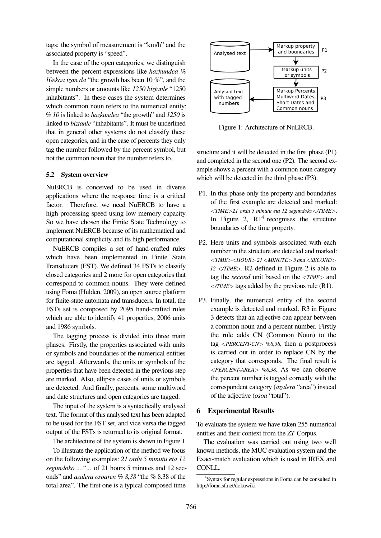tags: the symbol of measurement is "km/h" and the associated property is "speed".

In the case of the open categories, we distinguish between the percent expressions like *hazkundea % 10ekoa izan da* "the growth has been 10 %", and the simple numbers or amounts like *1250 biztanle* "1250 inhabitants". In these cases the system determines which common noun refers to the numerical entity: *% 10* is linked to *hazkundea* "the growth" and *1250* is linked to *biztanle* "inhabitants". It must be underlined that in general other systems do not classify these open categories, and in the case of percents they only tag the number followed by the percent symbol, but not the common noun that the number refers to.

#### 5.2 System overview

NuERCB is conceived to be used in diverse applications where the response time is a critical factor. Therefore, we need NuERCB to have a high processing speed using low memory capacity. So we have chosen the Finite State Technology to implement NuERCB because of its mathematical and computational simplicity and its high performance.

NuERCB compiles a set of hand-crafted rules which have been implemented in Finite State Transducers (FST). We defined 34 FSTs to classify closed categories and 2 more for open categories that correspond to common nouns. They were defined using Foma (Hulden, 2009), an open source platform for finite-state automata and transducers. In total, the FSTs set is composed by 2095 hand-crafted rules which are able to identify 41 properties, 2006 units and 1986 symbols.

The tagging process is divided into three main phases. Firstly, the properties associated with units or symbols and boundaries of the numerical entities are tagged. Afterwards, the units or symbols of the properties that have been detected in the previous step are marked. Also, ellipsis cases of units or symbols are detected. And finally, percents, some multiword and date structures and open categories are tagged.

The input of the system is a syntactically analysed text. The format of this analysed text has been adapted to be used for the FST set, and vice versa the tagged output of the FSTs is returned to its original format.

The architecture of the system is shown in Figure 1.

To illustrate the application of the method we focus on the following examples: *21 ordu 5 minutu eta 12 segundoko ...* "... of 21 hours 5 minutes and 12 seconds" and *azalera osoaren % 8,38* "the % 8.38 of the total area". The first one is a typical composed time



Figure 1: Architecture of NuERCB.

structure and it will be detected in the first phase (P1) and completed in the second one (P2). The second example shows a percent with a common noun category which will be detected in the third phase (P3).

- P1. In this phase only the property and boundaries of the first example are detected and marked: <*TIME*>*21 ordu 5 minutu eta 12 segundoko*<*/TIME*>. In Figure 2,  $R1<sup>4</sup>$  recognises the structure boundaries of the time property.
- P2. Here units and symbols associated with each number in the structure are detected and marked: <*TIME*><*HOUR*> *21* <*MINUTE*> *5 and* <*SECOND*> *12* <*/TIME*>. R2 defined in Figure 2 is able to tag the *second* unit based on the <*TIME*> and <*/TIME*> tags added by the previous rule (R1).
- P3. Finally, the numerical entity of the second example is detected and marked. R3 in Figure 3 detects that an adjective can appear between a common noun and a percent number. Firstly the rule adds CN (Common Noun) to the tag <*PERCENT-CN*> *%8,38*, then a postprocess is carried out in order to replace CN by the category that corresponds. The final result is <*PERCENT-AREA*> *%8,38*. As we can observe the percent number is tagged correctly with the correspondent category (*azalera* "area") instead of the adjective (*osoa* "total").

### 6 Experimental Results

To evaluate the system we have taken 255 numerical entities and their context from the *ZT* Corpus.

The evaluation was carried out using two well known methods, the MUC evaluation system and the Exact-match evaluation which is used in IREX and CONLL.

<sup>4</sup> Syntax for regular expressions in Foma can be consulted in http://foma.sf.net/dokuwiki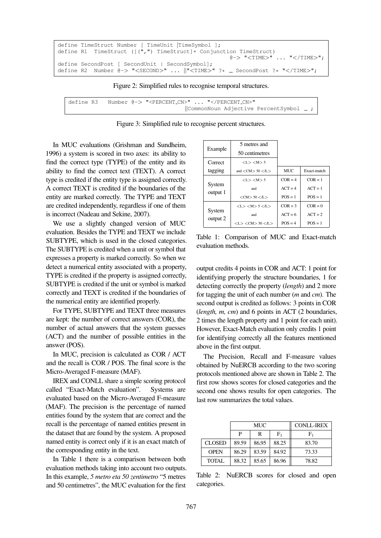```
define TimeStruct Number [ TimeUnit |TimeSymbol ];
define R1 TimeStruct ([(",") TimeStruct]* Conjunction TimeStruct)
                                                     @-> "<TIME>" ... "</TIME>";
define SecondPost [ SecondUnit | SecondSymbol];
define R2 Number @-> "<SECOND>" ... \|\cdot\|TIME>" ?* _ SecondPost ?* "</TIME>";
```
Figure 2: Simplified rules to recognise temporal structures.

define R3 Number @-> "<PERCENT CN>" ... "</PERCENT CN>" ||CommonNoun Adjective PercentSymbol ;

Figure 3: Simplified rule to recognise percent structures.

In MUC evaluations (Grishman and Sundheim, 1996) a system is scored in two axes: its ability to find the correct type (TYPE) of the entity and its ability to find the correct text (TEXT). A correct type is credited if the entity type is assigned correctly. A correct TEXT is credited if the boundaries of the entity are marked correctly. The TYPE and TEXT are credited independently, regardless if one of them is incorrect (Nadeau and Sekine, 2007).

We use a slightly changed version of MUC evaluation. Besides the TYPE and TEXT we include SUBTYPE, which is used in the closed categories. The SUBTYPE is credited when a unit or symbol that expresses a property is marked correctly. So when we detect a numerical entity associated with a property, TYPE is credited if the property is assigned correctly, SUBTYPE is credited if the unit or symbol is marked correctly and TEXT is credited if the boundaries of the numerical entity are identified properly.

For TYPE, SUBTYPE and TEXT three measures are kept: the number of correct answers (COR), the number of actual answers that the system guesses (ACT) and the number of possible entities in the answer (POS).

In MUC, precision is calculated as COR / ACT and the recall is COR / POS. The final score is the Micro-Averaged F-measure (MAF).

IREX and CONLL share a simple scoring protocol called "Exact-Match evaluation". Systems are evaluated based on the Micro-Averaged F-measure (MAF). The precision is the percentage of named entities found by the system that are correct and the recall is the percentage of named entities present in the dataset that are found by the system. A proposed named entity is correct only if it is an exact match of the corresponding entity in the text.

In Table 1 there is a comparison between both evaluation methods taking into account two outputs. In this example, *5 metro eta 50 zentimetro* "5 metres and 50 centimetres", the MUC evaluation for the first

|                    | 5 metres and                                         |            |             |  |
|--------------------|------------------------------------------------------|------------|-------------|--|
| Example            | 50 centimetres                                       |            |             |  |
| Correct            | < L > < M > 5                                        |            |             |  |
| tagging            | and $\langle$ CM $\rangle$ 50 $\langle$ /L $\rangle$ | <b>MUC</b> | Exact-match |  |
| System<br>output 1 | < L > < M > 5                                        | $COR = 4$  | $COR = 1$   |  |
|                    | and                                                  | $ACT = 4$  | $ACT = 1$   |  |
|                    | $<$ CM $> 50$ $<$ /L $>$                             | $POS = 1$  | $POS = 1$   |  |
| System<br>output 2 | < L > < M > 5 < L >                                  | $COR = 3$  | $COR = 0$   |  |
|                    | and                                                  | $ACT = 6$  | $ACT = 2$   |  |
|                    | $<$ L $>$ $<$ CM $>$ 50 $<$ /L $>$                   | $POS = 4$  | $POS = 1$   |  |

Table 1: Comparison of MUC and Exact-match evaluation methods.

output credits 4 points in COR and ACT: 1 point for identifying properly the structure boundaries, 1 for detecting correctly the property (*length*) and 2 more for tagging the unit of each number (*m* and *cm*). The second output is credited as follows: 3 points in COR (*length, m, cm*) and 6 points in ACT (2 boundaries, 2 times the length property and 1 point for each unit). However, Exact-Match evaluation only credits 1 point for identifying correctly all the features mentioned above in the first output.

The Precision, Recall and F-measure values obtained by NuERCB according to the two scoring protocols mentioned above are shown in Table 2. The first row shows scores for closed categories and the second one shows results for open categories. The last row summarizes the total values.

|               | MUC   |       | <b>CONLL-IREX</b> |                |
|---------------|-------|-------|-------------------|----------------|
|               | P     | R     | ${\rm F}_1$       | F <sub>1</sub> |
| <b>CLOSED</b> | 89.59 | 86,95 | 88.25             | 83.70          |
| <b>OPEN</b>   | 86.29 | 83.59 | 84.92             | 73.33          |
| <b>TOTAL</b>  | 88.32 | 85.65 | 86.96             | 78.82          |

Table 2: NuERCB scores for closed and open categories.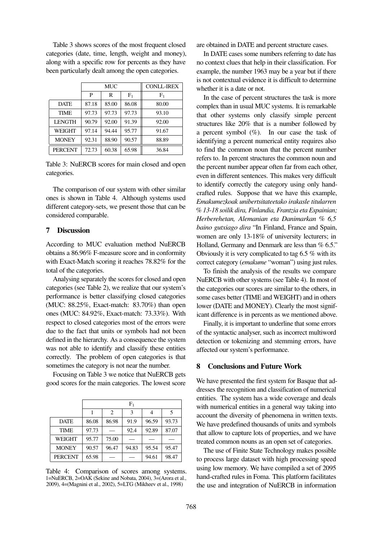Table 3 shows scores of the most frequent closed categories (date, time, length, weight and money), along with a specific row for percents as they have been particularly dealt among the open categories.

|                | MUC   |       | <b>CONLL-IREX</b> |       |  |
|----------------|-------|-------|-------------------|-------|--|
|                | P     | R     | F <sub>1</sub>    | $F_1$ |  |
| <b>DATE</b>    | 87.18 | 85.00 | 86.08             | 80.00 |  |
| <b>TIME</b>    | 97.73 | 97.73 | 97.73             | 93.10 |  |
| <b>LENGTH</b>  | 90.79 | 92.00 | 91.39             | 92.00 |  |
| WEIGHT         | 97.14 | 94.44 | 95.77             | 91.67 |  |
| <b>MONEY</b>   | 92.31 | 88.90 | 90.57             | 88.89 |  |
| <b>PERCENT</b> | 72.73 | 60.38 | 65.98             | 36.84 |  |

Table 3: NuERCB scores for main closed and open categories.

The comparison of our system with other similar ones is shown in Table 4. Although systems used different category-sets, we present those that can be considered comparable.

### 7 Discussion

According to MUC evaluation method NuERCB obtains a 86.96% F-measure score and in conformity with Exact-Match scoring it reaches 78.82% for the total of the categories.

Analysing separately the scores for closed and open categories (see Table 2), we realize that our system's performance is better classifying closed categories (MUC: 88.25%, Exact-match: 83.70%) than open ones (MUC: 84.92%, Exact-match: 73.33%). With respect to closed categories most of the errors were due to the fact that units or symbols had not been defined in the hierarchy. As a consequence the system was not able to identify and classify these entities correctly. The problem of open categories is that sometimes the category is not near the number.

Focusing on Table 3 we notice that NuERCB gets good scores for the main categories. The lowest score

|                | ${\rm F_1}$ |       |       |       |       |
|----------------|-------------|-------|-------|-------|-------|
|                |             | 2     | 3     | 4     | 5     |
| <b>DATE</b>    | 86.08       | 86.98 | 91.9  | 96.59 | 93.73 |
| <b>TIME</b>    | 97.73       |       | 92.4  | 92.89 | 87.07 |
| WEIGHT         | 95.77       | 75.00 |       |       |       |
| <b>MONEY</b>   | 90.57       | 96.47 | 94.83 | 95.54 | 95.47 |
| <b>PERCENT</b> | 65.98       |       |       | 94.61 | 98.47 |

Table 4: Comparison of scores among systems. 1=NuERCB, 2=OAK (Sekine and Nobata, 2004), 3=(Arora et al., 2009), 4=(Magnini et al., 2002), 5=LTG (Mikheev et al., 1998)

are obtained in DATE and percent structure cases.

In DATE cases some numbers referring to date has no context clues that help in their classification. For example, the number 1963 may be a year but if there is not contextual evidence it is difficult to determine whether it is a date or not.

In the case of percent structures the task is more complex than in usual MUC systems. It is remarkable that other systems only classify simple percent structures like 20% that is a number followed by a percent symbol  $(\%)$ . In our case the task of identifying a percent numerical entity requires also to find the common noun that the percent number refers to. In percent structures the common noun and the percent number appear often far from each other, even in different sentences. This makes very difficult to identify correctly the category using only handcrafted rules. Suppose that we have this example, *Emakumezkoak unibertsitateetako irakasle titularren % 13-18 soilik dira, Finlandia, Frantzia eta Espainian; Herberehetan, Alemanian eta Danimarkan % 6,5 baino gutxiago dira* "In Finland, France and Spain, women are only 13-18% of university lecturers; in Holland, Germany and Denmark are less than % 6.5." Obviously it is very complicated to tag 6.5 % with its correct category (*emakume* "woman") using just rules.

To finish the analysis of the results we compare NuERCB with other systems (see Table 4). In most of the categories our scores are similar to the others, in some cases better (TIME and WEIGHT) and in others lower (DATE and MONEY). Clearly the most significant difference is in percents as we mentioned above.

Finally, it is important to underline that some errors of the syntactic analyser, such as incorrect multiword detection or tokenizing and stemming errors, have affected our system's performance.

# 8 Conclusions and Future Work

We have presented the first system for Basque that addresses the recognition and classification of numerical entities. The system has a wide coverage and deals with numerical entities in a general way taking into account the diversity of phenomena in written texts. We have predefined thousands of units and symbols that allow to capture lots of properties, and we have treated common nouns as an open set of categories.

The use of Finite State Technology makes possible to process large dataset with high processing speed using low memory. We have compiled a set of 2095 hand-crafted rules in Foma. This platform facilitates the use and integration of NuERCB in information